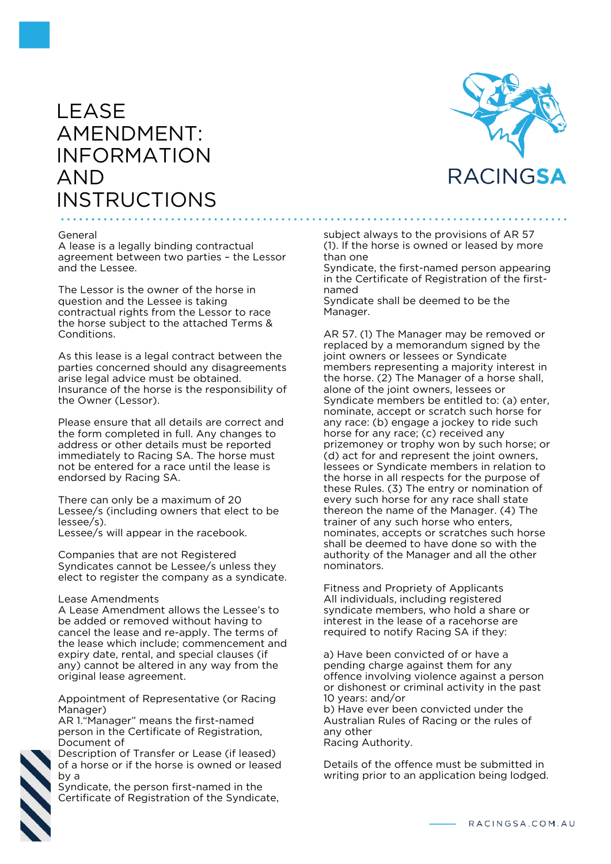# LEASE AMENDMENT: INFORMATION AND **INSTRUCTIONS**



### General

A lease is a legally binding contractual agreement between two parties – the Lessor and the Lessee.

The Lessor is the owner of the horse in question and the Lessee is taking contractual rights from the Lessor to race the horse subject to the attached Terms & Conditions.

As this lease is a legal contract between the parties concerned should any disagreements arise legal advice must be obtained. Insurance of the horse is the responsibility of the Owner (Lessor).

Please ensure that all details are correct and the form completed in full. Any changes to address or other details must be reported immediately to Racing SA. The horse must not be entered for a race until the lease is endorsed by Racing SA.

There can only be a maximum of 20 Lessee/s (including owners that elect to be lessee/s).

Lessee/s will appear in the racebook.

Companies that are not Registered Syndicates cannot be Lessee/s unless they elect to register the company as a syndicate.

### Lease Amendments

A Lease Amendment allows the Lessee's to be added or removed without having to cancel the lease and re-apply. The terms of the lease which include; commencement and expiry date, rental, and special clauses (if any) cannot be altered in any way from the original lease agreement.

Appointment of Representative (or Racing Manager)

AR 1."Manager" means the first-named person in the Certificate of Registration, Document of

Description of Transfer or Lease (if leased) of a horse or if the horse is owned or leased by a

Syndicate, the person first-named in the Certificate of Registration of the Syndicate,

subject always to the provisions of AR 57 (1). If the horse is owned or leased by more than one

Syndicate, the first-named person appearing in the Certificate of Registration of the firstnamed

Syndicate shall be deemed to be the Manager.

AR 57. (1) The Manager may be removed or replaced by a memorandum signed by the joint owners or lessees or Syndicate members representing a majority interest in the horse. (2) The Manager of a horse shall, alone of the joint owners, lessees or Syndicate members be entitled to: (a) enter, nominate, accept or scratch such horse for any race: (b) engage a jockey to ride such horse for any race; (c) received any prizemoney or trophy won by such horse; or (d) act for and represent the joint owners, lessees or Syndicate members in relation to the horse in all respects for the purpose of these Rules. (3) The entry or nomination of every such horse for any race shall state thereon the name of the Manager. (4) The trainer of any such horse who enters, nominates, accepts or scratches such horse shall be deemed to have done so with the authority of the Manager and all the other nominators.

Fitness and Propriety of Applicants All individuals, including registered syndicate members, who hold a share or interest in the lease of a racehorse are required to notify Racing SA if they:

a) Have been convicted of or have a pending charge against them for any offence involving violence against a person or dishonest or criminal activity in the past 10 years: and/or

b) Have ever been convicted under the Australian Rules of Racing or the rules of any other

Racing Authority.

Details of the offence must be submitted in writing prior to an application being lodged.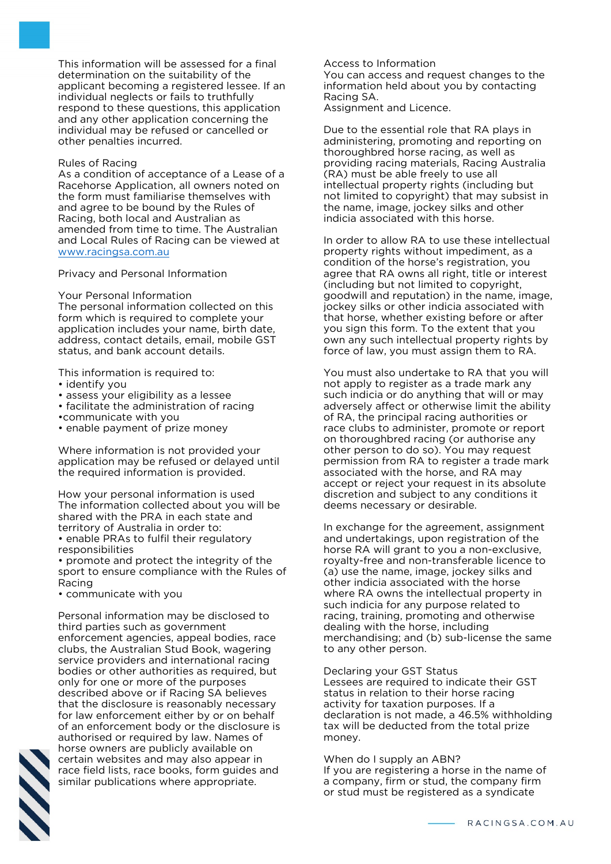This information will be assessed for a final determination on the suitability of the applicant becoming a registered lessee. If an individual neglects or fails to truthfully respond to these questions, this application and any other application concerning the individual may be refused or cancelled or other penalties incurred.

### Rules of Racing

As a condition of acceptance of a Lease of a Racehorse Application, all owners noted on the form must familiarise themselves with and agree to be bound by the Rules of Racing, both local and Australian as amended from time to time. The Australian and Local Rules of Racing can be viewed at [www.racingsa.com.au](http://www.theracessa.com.au/)

Privacy and Personal Information

#### Your Personal Information

The personal information collected on this form which is required to complete your application includes your name, birth date, address, contact details, email, mobile GST status, and bank account details.

This information is required to:

- identify you
- assess your eligibility as a lessee
- facilitate the administration of racing
- •communicate with you
- enable payment of prize money

Where information is not provided your application may be refused or delayed until the required information is provided.

How your personal information is used The information collected about you will be shared with the PRA in each state and territory of Australia in order to:

• enable PRAs to fulfil their regulatory responsibilities

• promote and protect the integrity of the sport to ensure compliance with the Rules of Racing

• communicate with you

Personal information may be disclosed to third parties such as government enforcement agencies, appeal bodies, race clubs, the Australian Stud Book, wagering service providers and international racing bodies or other authorities as required, but only for one or more of the purposes described above or if Racing SA believes that the disclosure is reasonably necessary for law enforcement either by or on behalf of an enforcement body or the disclosure is authorised or required by law. Names of horse owners are publicly available on certain websites and may also appear in race field lists, race books, form guides and similar publications where appropriate.

Access to Information You can access and request changes to the information held about you by contacting Racing SA.

Assignment and Licence.

Due to the essential role that RA plays in administering, promoting and reporting on thoroughbred horse racing, as well as providing racing materials, Racing Australia (RA) must be able freely to use all intellectual property rights (including but not limited to copyright) that may subsist in the name, image, jockey silks and other indicia associated with this horse.

In order to allow RA to use these intellectual property rights without impediment, as a condition of the horse's registration, you agree that RA owns all right, title or interest (including but not limited to copyright, goodwill and reputation) in the name, image, jockey silks or other indicia associated with that horse, whether existing before or after you sign this form. To the extent that you own any such intellectual property rights by force of law, you must assign them to RA.

You must also undertake to RA that you will not apply to register as a trade mark any such indicia or do anything that will or may adversely affect or otherwise limit the ability of RA, the principal racing authorities or race clubs to administer, promote or report on thoroughbred racing (or authorise any other person to do so). You may request permission from RA to register a trade mark associated with the horse, and RA may accept or reject your request in its absolute discretion and subject to any conditions it deems necessary or desirable.

In exchange for the agreement, assignment and undertakings, upon registration of the horse RA will grant to you a non-exclusive, royalty-free and non-transferable licence to (a) use the name, image, jockey silks and other indicia associated with the horse where RA owns the intellectual property in such indicia for any purpose related to racing, training, promoting and otherwise dealing with the horse, including merchandising; and (b) sub-license the same to any other person.

Declaring your GST Status Lessees are required to indicate their GST status in relation to their horse racing activity for taxation purposes. If a declaration is not made, a 46.5% withholding tax will be deducted from the total prize money.

When do I supply an ABN? If you are registering a horse in the name of a company, firm or stud, the company firm or stud must be registered as a syndicate

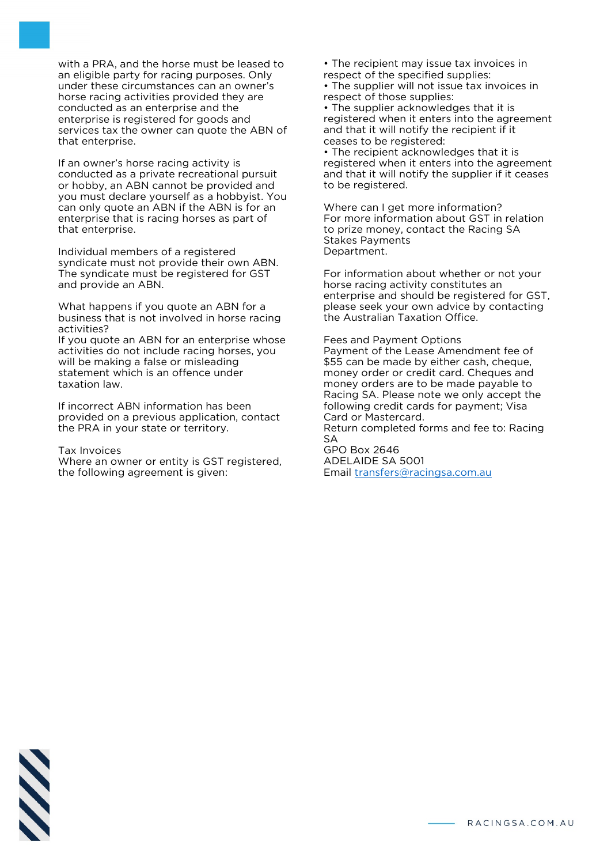with a PRA, and the horse must be leased to an eligible party for racing purposes. Only under these circumstances can an owner's horse racing activities provided they are conducted as an enterprise and the enterprise is registered for goods and services tax the owner can quote the ABN of that enterprise.

If an owner's horse racing activity is conducted as a private recreational pursuit or hobby, an ABN cannot be provided and you must declare yourself as a hobbyist. You can only quote an ABN if the ABN is for an enterprise that is racing horses as part of that enterprise.

Individual members of a registered syndicate must not provide their own ABN. The syndicate must be registered for GST and provide an ABN.

What happens if you quote an ABN for a business that is not involved in horse racing activities?

If you quote an ABN for an enterprise whose activities do not include racing horses, you will be making a false or misleading statement which is an offence under taxation law.

If incorrect ABN information has been provided on a previous application, contact the PRA in your state or territory.

Tax Invoices

Where an owner or entity is GST registered, the following agreement is given:

• The recipient may issue tax invoices in respect of the specified supplies:

• The supplier will not issue tax invoices in respect of those supplies:

• The supplier acknowledges that it is registered when it enters into the agreement and that it will notify the recipient if it ceases to be registered:

• The recipient acknowledges that it is registered when it enters into the agreement and that it will notify the supplier if it ceases to be registered.

Where can I get more information? For more information about GST in relation to prize money, contact the Racing SA Stakes Payments Department.

For information about whether or not your horse racing activity constitutes an enterprise and should be registered for GST, please seek your own advice by contacting the Australian Taxation Office.

Fees and Payment Options Payment of the Lease Amendment fee of \$55 can be made by either cash, cheque, money order or credit card. Cheques and money orders are to be made payable to Racing SA. Please note we only accept the following credit cards for payment; Visa Card or Mastercard. Return completed forms and fee to: Racing SA

GPO Box 2646 ADELAIDE SA 5001 Email [transfers@racingsa.com.au](mailto:transfers@theracessa.com.au)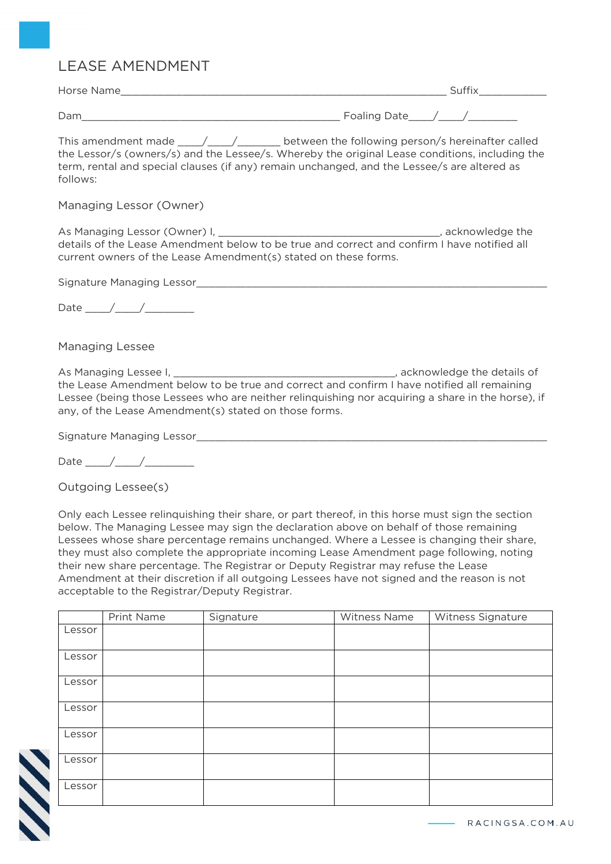## LEASE AMENDMENT

| Horse Name |                         |
|------------|-------------------------|
|            |                         |
| Dam        | Foaling<br>۱ລ†բ<br>nare |

This amendment made \_\_\_\_\_/\_\_\_\_\_/\_\_\_\_\_\_\_\_ between the following person/s hereinafter called the Lessor/s (owners/s) and the Lessee/s. Whereby the original Lease conditions, including the term, rental and special clauses (if any) remain unchanged, and the Lessee/s are altered as follows:

## Managing Lessor (Owner)

As Managing Lessor (Owner) I, \_\_\_\_\_\_\_\_\_\_\_\_\_\_\_\_\_\_\_\_\_\_\_\_\_\_\_\_\_\_\_\_\_\_\_\_, acknowledge the details of the Lease Amendment below to be true and correct and confirm I have notified all current owners of the Lease Amendment(s) stated on these forms.

Signature Managing Lessor\_

Date  $\_\_\_\_\_\_\_\_\_\_\$ 

## Managing Lessee

As Managing Lessee I, Letter Managing Lessee I, 2004, 2006, 2007, 2008, 2007, 2014 the Lease Amendment below to be true and correct and confirm I have notified all remaining Lessee (being those Lessees who are neither relinquishing nor acquiring a share in the horse), if any, of the Lease Amendment(s) stated on those forms.

Signature Managing Lessor

Outgoing Lessee(s)

Only each Lessee relinquishing their share, or part thereof, in this horse must sign the section below. The Managing Lessee may sign the declaration above on behalf of those remaining Lessees whose share percentage remains unchanged. Where a Lessee is changing their share, they must also complete the appropriate incoming Lease Amendment page following, noting their new share percentage. The Registrar or Deputy Registrar may refuse the Lease Amendment at their discretion if all outgoing Lessees have not signed and the reason is not acceptable to the Registrar/Deputy Registrar.

|        | Print Name | Signature | <b>Witness Name</b> | Witness Signature |
|--------|------------|-----------|---------------------|-------------------|
| Lessor |            |           |                     |                   |
|        |            |           |                     |                   |
| Lessor |            |           |                     |                   |
|        |            |           |                     |                   |
| Lessor |            |           |                     |                   |
|        |            |           |                     |                   |
| Lessor |            |           |                     |                   |
|        |            |           |                     |                   |
| Lessor |            |           |                     |                   |
|        |            |           |                     |                   |
| Lessor |            |           |                     |                   |
|        |            |           |                     |                   |
| Lessor |            |           |                     |                   |
|        |            |           |                     |                   |

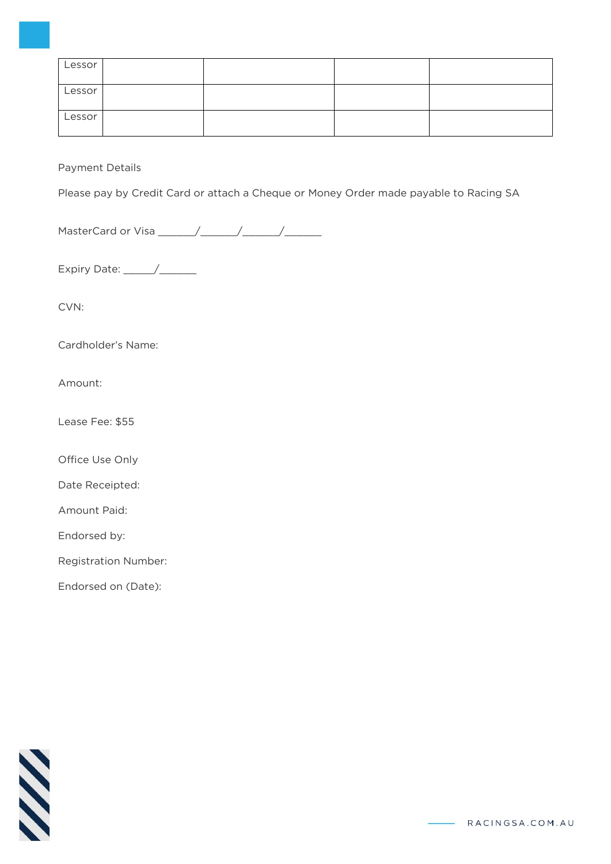| Lessor |  |  |
|--------|--|--|
| Lessor |  |  |
| Lessor |  |  |

## Payment Details

Please pay by Credit Card or attach a Cheque or Money Order made payable to Racing SA

MasterCard or Visa \_\_\_\_\_\_/\_\_\_\_\_\_/\_\_\_\_\_\_/\_\_\_\_\_\_

Expiry Date: \_\_\_\_\_/\_\_\_\_\_\_

CVN:

Cardholder's Name:

Amount:

Lease Fee: \$55

Office Use Only

Date Receipted:

Amount Paid:

Endorsed by:

Registration Number:

Endorsed on (Date):

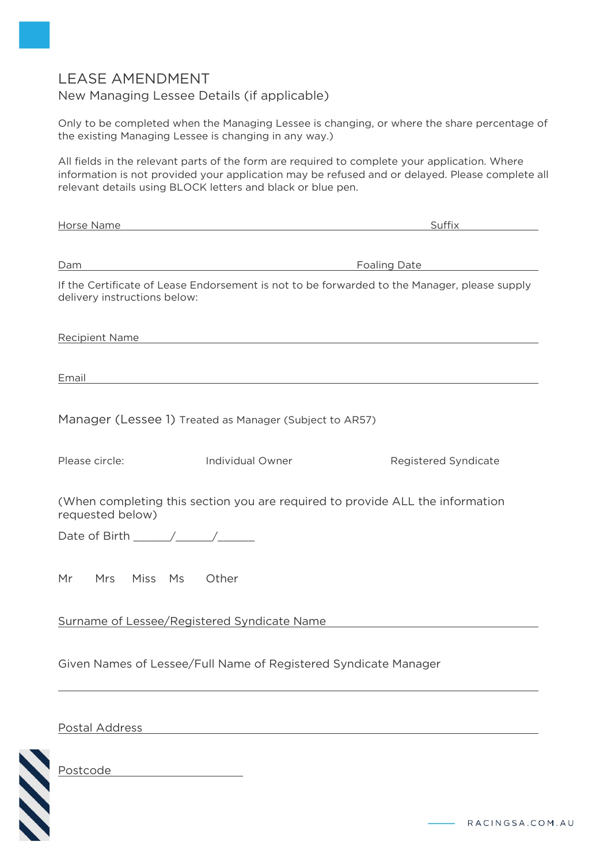# LEASE AMENDMENT

## New Managing Lessee Details (if applicable)

Only to be completed when the Managing Lessee is changing, or where the share percentage of the existing Managing Lessee is changing in any way.)

All fields in the relevant parts of the form are required to complete your application. Where information is not provided your application may be refused and or delayed. Please complete all relevant details using BLOCK letters and black or blue pen.

| Horse Name                                                                                                                   |                                                                                                                                                                                                                                | Suffix               |  |  |  |  |  |  |
|------------------------------------------------------------------------------------------------------------------------------|--------------------------------------------------------------------------------------------------------------------------------------------------------------------------------------------------------------------------------|----------------------|--|--|--|--|--|--|
|                                                                                                                              |                                                                                                                                                                                                                                |                      |  |  |  |  |  |  |
| Dam                                                                                                                          |                                                                                                                                                                                                                                | <b>Foaling Date</b>  |  |  |  |  |  |  |
| If the Certificate of Lease Endorsement is not to be forwarded to the Manager, please supply<br>delivery instructions below: |                                                                                                                                                                                                                                |                      |  |  |  |  |  |  |
|                                                                                                                              | Recipient Name and the contract of the contract of the contract of the contract of the contract of the contract of the contract of the contract of the contract of the contract of the contract of the contract of the contrac |                      |  |  |  |  |  |  |
| Email                                                                                                                        | and the control of the control of the control of the control of the control of the control of the control of the                                                                                                               |                      |  |  |  |  |  |  |
|                                                                                                                              | Manager (Lessee 1) Treated as Manager (Subject to AR57)                                                                                                                                                                        |                      |  |  |  |  |  |  |
| Please circle:                                                                                                               | <b>Individual Owner</b>                                                                                                                                                                                                        | Registered Syndicate |  |  |  |  |  |  |
| requested below)                                                                                                             | (When completing this section you are required to provide ALL the information                                                                                                                                                  |                      |  |  |  |  |  |  |
| Date of Birth $\_\_\_\_\_\_\_\_\_\_\_\_\_\$                                                                                  |                                                                                                                                                                                                                                |                      |  |  |  |  |  |  |
| Mrs<br>Miss Ms Other<br>Mr                                                                                                   |                                                                                                                                                                                                                                |                      |  |  |  |  |  |  |
| Surname of Lessee/Registered Syndicate Name                                                                                  |                                                                                                                                                                                                                                |                      |  |  |  |  |  |  |
| Given Names of Lessee/Full Name of Registered Syndicate Manager                                                              |                                                                                                                                                                                                                                |                      |  |  |  |  |  |  |
|                                                                                                                              |                                                                                                                                                                                                                                |                      |  |  |  |  |  |  |

Postal Address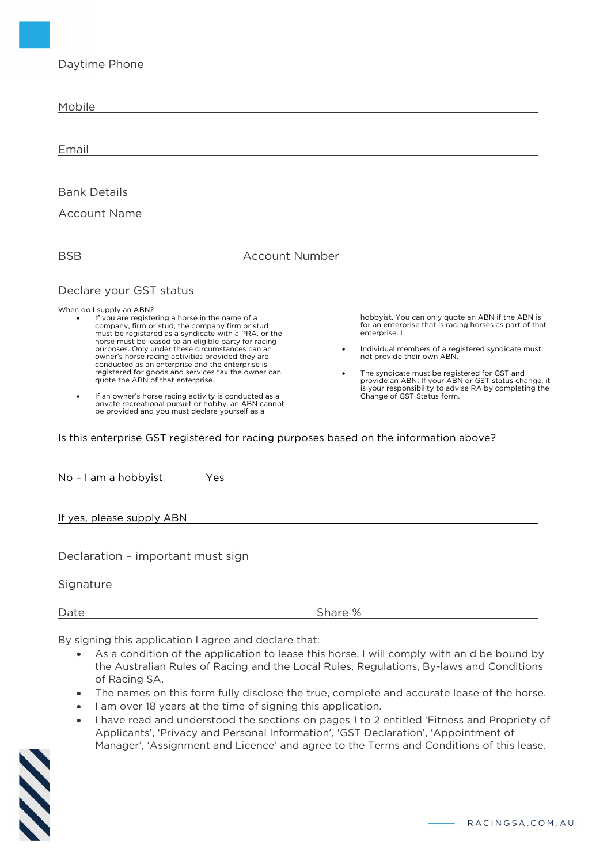| Daytime Phone |  |
|---------------|--|
|               |  |

| Mobile                                                                                                                                                                                                                                                                                                                                                                                                                                                                                                                                                                                                                                                                                                                                                                                        |                       |                                                                                                                                                                                                                                                                                                                                                                                                                 |
|-----------------------------------------------------------------------------------------------------------------------------------------------------------------------------------------------------------------------------------------------------------------------------------------------------------------------------------------------------------------------------------------------------------------------------------------------------------------------------------------------------------------------------------------------------------------------------------------------------------------------------------------------------------------------------------------------------------------------------------------------------------------------------------------------|-----------------------|-----------------------------------------------------------------------------------------------------------------------------------------------------------------------------------------------------------------------------------------------------------------------------------------------------------------------------------------------------------------------------------------------------------------|
| Email                                                                                                                                                                                                                                                                                                                                                                                                                                                                                                                                                                                                                                                                                                                                                                                         |                       |                                                                                                                                                                                                                                                                                                                                                                                                                 |
| <b>Bank Details</b><br><b>Account Name</b>                                                                                                                                                                                                                                                                                                                                                                                                                                                                                                                                                                                                                                                                                                                                                    |                       |                                                                                                                                                                                                                                                                                                                                                                                                                 |
| <b>BSB</b>                                                                                                                                                                                                                                                                                                                                                                                                                                                                                                                                                                                                                                                                                                                                                                                    | <b>Account Number</b> |                                                                                                                                                                                                                                                                                                                                                                                                                 |
| Declare your GST status<br>When do I supply an ABN?<br>If you are registering a horse in the name of a<br>company, firm or stud, the company firm or stud<br>must be registered as a syndicate with a PRA, or the<br>horse must be leased to an eligible party for racing<br>purposes. Only under these circumstances can an<br>owner's horse racing activities provided they are<br>conducted as an enterprise and the enterprise is<br>registered for goods and services tax the owner can<br>quote the ABN of that enterprise.<br>If an owner's horse racing activity is conducted as a<br>private recreational pursuit or hobby, an ABN cannot<br>be provided and you must declare yourself as a<br>Is this enterprise GST registered for racing purposes based on the information above? | ٠<br>$\bullet$        | hobbyist. You can only quote an ABN if the ABN is<br>for an enterprise that is racing horses as part of that<br>enterprise. I<br>Individual members of a registered syndicate must<br>not provide their own ABN.<br>The syndicate must be registered for GST and<br>provide an ABN. If your ABN or GST status change, it<br>is your responsibility to advise RA by completing the<br>Change of GST Status form. |
| No - I am a hobbyist<br>Yes                                                                                                                                                                                                                                                                                                                                                                                                                                                                                                                                                                                                                                                                                                                                                                   |                       |                                                                                                                                                                                                                                                                                                                                                                                                                 |
| If yes, please supply ABN                                                                                                                                                                                                                                                                                                                                                                                                                                                                                                                                                                                                                                                                                                                                                                     |                       |                                                                                                                                                                                                                                                                                                                                                                                                                 |
| Declaration - important must sign<br>Signature                                                                                                                                                                                                                                                                                                                                                                                                                                                                                                                                                                                                                                                                                                                                                |                       |                                                                                                                                                                                                                                                                                                                                                                                                                 |
| Date                                                                                                                                                                                                                                                                                                                                                                                                                                                                                                                                                                                                                                                                                                                                                                                          |                       | Share %                                                                                                                                                                                                                                                                                                                                                                                                         |
| By cigning this application Lagree and declare that:                                                                                                                                                                                                                                                                                                                                                                                                                                                                                                                                                                                                                                                                                                                                          |                       |                                                                                                                                                                                                                                                                                                                                                                                                                 |

By signing this application I agree and declare that:

- As a condition of the application to lease this horse, I will comply with an d be bound by the Australian Rules of Racing and the Local Rules, Regulations, By-laws and Conditions of Racing SA.
- The names on this form fully disclose the true, complete and accurate lease of the horse.
- I am over 18 years at the time of signing this application.
- I have read and understood the sections on pages 1 to 2 entitled 'Fitness and Propriety of Applicants', 'Privacy and Personal Information', 'GST Declaration', 'Appointment of Manager', 'Assignment and Licence' and agree to the Terms and Conditions of this lease.

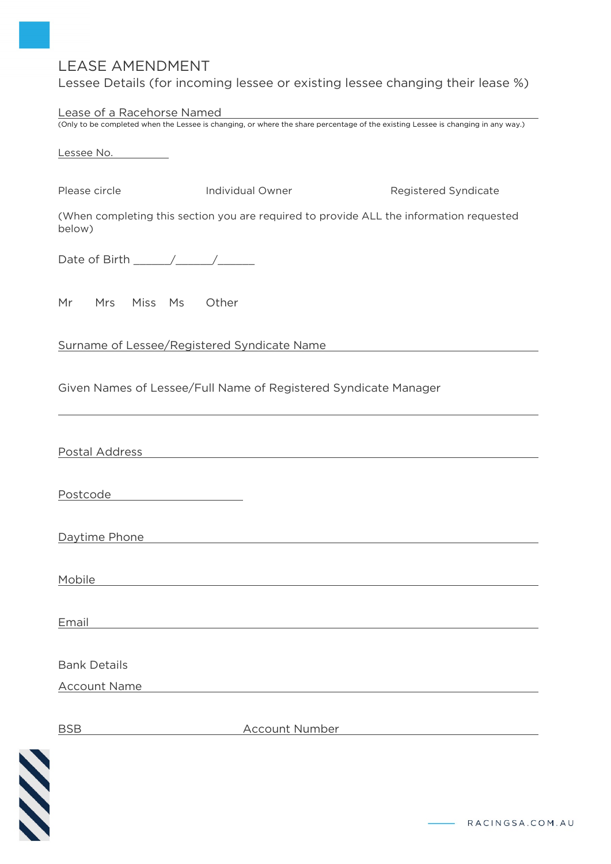# LEASE AMENDMENT

Lessee Details (for incoming lessee or existing lessee changing their lease %)

| Lease of a Racehorse Named                                    |                                                                                                                                  |                                                                                                                       |
|---------------------------------------------------------------|----------------------------------------------------------------------------------------------------------------------------------|-----------------------------------------------------------------------------------------------------------------------|
|                                                               | (Only to be completed when the Lessee is changing, or where the share percentage of the existing Lessee is changing in any way.) |                                                                                                                       |
| Lessee No.                                                    |                                                                                                                                  |                                                                                                                       |
| Please circle                                                 | Individual Owner                                                                                                                 | Registered Syndicate                                                                                                  |
| below)                                                        | (When completing this section you are required to provide ALL the information requested                                          |                                                                                                                       |
|                                                               |                                                                                                                                  |                                                                                                                       |
| Mr Mrs Miss Ms Other                                          |                                                                                                                                  |                                                                                                                       |
| Surname of Lessee/Registered Syndicate Name                   |                                                                                                                                  |                                                                                                                       |
|                                                               | Given Names of Lessee/Full Name of Registered Syndicate Manager                                                                  |                                                                                                                       |
| Postal Address                                                |                                                                                                                                  |                                                                                                                       |
| Postcode<br><u> 1989 - Johann Barbara, martxa alemaniar a</u> |                                                                                                                                  |                                                                                                                       |
| Daytime Phone                                                 |                                                                                                                                  |                                                                                                                       |
| Mobile                                                        |                                                                                                                                  |                                                                                                                       |
| Email                                                         | <u> 1989 - Johann Barn, mars eta bainar eta bainar eta baina eta baina eta baina eta baina eta baina eta baina e</u>             |                                                                                                                       |
| <b>Bank Details</b>                                           |                                                                                                                                  |                                                                                                                       |
| <b>Account Name</b>                                           |                                                                                                                                  |                                                                                                                       |
| <b>BSB</b>                                                    | <b>Account Number</b>                                                                                                            | <u> 1989 - Jan Stern Stern Stern Stern Stern Stern Stern Stern Stern Stern Stern Stern Stern Stern Stern Stern St</u> |



RACINGSA.COM.AU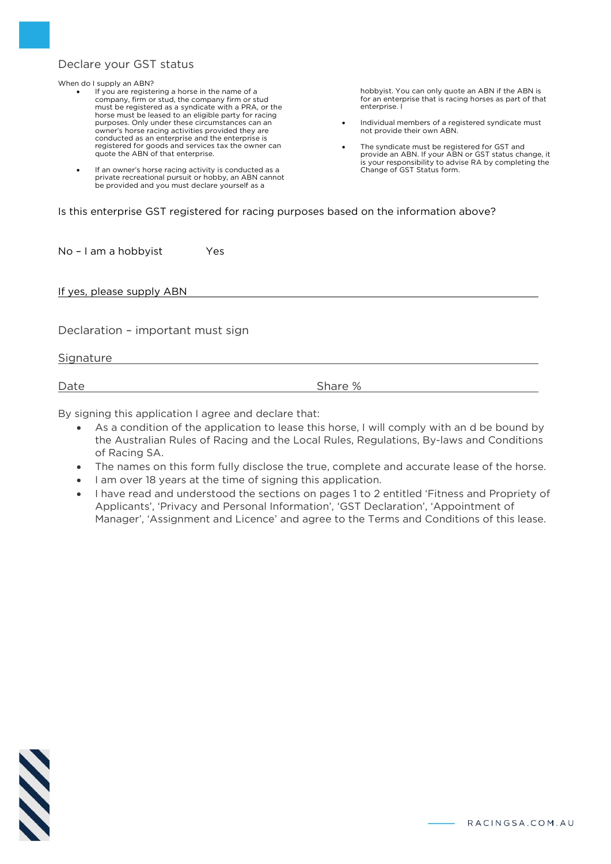## Declare your GST status

When do I supply an ABN?

- If you are registering a horse in the name of a company, firm or stud, the company firm or stud must be registered as a syndicate with a PRA, or the horse must be leased to an eligible party for racing purposes. Only under these circumstances can an owner's horse racing activities provided they are conducted as an enterprise and the enterprise is registered for goods and services tax the owner can quote the ABN of that enterprise.
- If an owner's horse racing activity is conducted as a private recreational pursuit or hobby, an ABN cannot be provided and you must declare yourself as a

hobbyist. You can only quote an ABN if the ABN is for an enterprise that is racing horses as part of that enterprise. I

- Individual members of a registered syndicate must not provide their own ABN.
- The syndicate must be registered for GST and provide an ABN. If your ABN or GST status change, it is your responsibility to advise RA by completing the Change of GST Status form.

|  |  | Is this enterprise GST registered for racing purposes based on the information above? |  |  |  |  |  |
|--|--|---------------------------------------------------------------------------------------|--|--|--|--|--|

No - I am a hobbyist Yes

If yes, please supply ABN

Declaration – important must sign

**Signature** 

Date Share %

By signing this application I agree and declare that:

- As a condition of the application to lease this horse, I will comply with an d be bound by the Australian Rules of Racing and the Local Rules, Regulations, By-laws and Conditions of Racing SA.
- The names on this form fully disclose the true, complete and accurate lease of the horse.
- I am over 18 years at the time of signing this application.
- I have read and understood the sections on pages 1 to 2 entitled 'Fitness and Propriety of Applicants', 'Privacy and Personal Information', 'GST Declaration', 'Appointment of Manager', 'Assignment and Licence' and agree to the Terms and Conditions of this lease.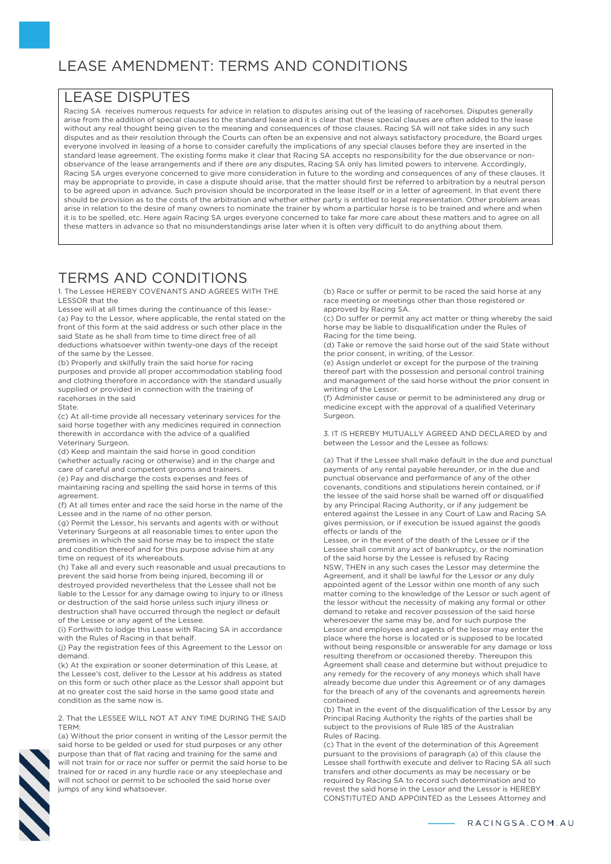# LEASE AMENDMENT: TERMS AND CONDITIONS

## LEASE DISPUTES

Racing SA receives numerous requests for advice in relation to disputes arising out of the leasing of racehorses. Disputes generally arise from the addition of special clauses to the standard lease and it is clear that these special clauses are often added to the lease without any real thought being given to the meaning and consequences of those clauses. Racing SA will not take sides in any such disputes and as their resolution through the Courts can often be an expensive and not always satisfactory procedure, the Board urges everyone involved in leasing of a horse to consider carefully the implications of any special clauses before they are inserted in the standard lease agreement. The existing forms make it clear that Racing SA accepts no responsibility for the due observance or nonobservance of the lease arrangements and if there are any disputes, Racing SA only has limited powers to intervene. Accordingly, Racing SA urges everyone concerned to give more consideration in future to the wording and consequences of any of these clauses. It may be appropriate to provide, in case a dispute should arise, that the matter should first be referred to arbitration by a neutral person to be agreed upon in advance. Such provision should be incorporated in the lease itself or in a letter of agreement. In that event there should be provision as to the costs of the arbitration and whether either party is entitled to legal representation. Other problem areas arise in relation to the desire of many owners to nominate the trainer by whom a particular horse is to be trained and where and when it is to be spelled, etc. Here again Racing SA urges everyone concerned to take far more care about these matters and to agree on all these matters in advance so that no misunderstandings arise later when it is often very difficult to do anything about them.

# TERMS AND CONDITIONS

1. The Lessee HEREBY COVENANTS AND AGREES WITH THE LESSOR that the

Lessee will at all times during the continuance of this lease:- (a) Pay to the Lessor, where applicable, the rental stated on the front of this form at the said address or such other place in the said State as he shall from time to time direct free of all deductions whatsoever within twenty-one days of the receipt of the same by the Lessee.

(b) Properly and skilfully train the said horse for racing purposes and provide all proper accommodation stabling food and clothing therefore in accordance with the standard usually supplied or provided in connection with the training of racehorses in the said

#### State.

(c) At all-time provide all necessary veterinary services for the said horse together with any medicines required in connection therewith in accordance with the advice of a qualified Veterinary Surgeon.

(d) Keep and maintain the said horse in good condition (whether actually racing or otherwise) and in the charge and care of careful and competent grooms and trainers. (e) Pay and discharge the costs expenses and fees of

maintaining racing and spelling the said horse in terms of this agreement.

(f) At all times enter and race the said horse in the name of the Lessee and in the name of no other person.

(g) Permit the Lessor, his servants and agents with or without Veterinary Surgeons at all reasonable times to enter upon the premises in which the said horse may be to inspect the state and condition thereof and for this purpose advise him at any time on request of its whereabouts.

(h) Take all and every such reasonable and usual precautions to prevent the said horse from being injured, becoming ill or destroyed provided nevertheless that the Lessee shall not be liable to the Lessor for any damage owing to injury to or illness or destruction of the said horse unless such injury illness or destruction shall have occurred through the neglect or default of the Lessee or any agent of the Lessee.

(i) Forthwith to lodge this Lease with Racing SA in accordance with the Rules of Racing in that behalf.

(j) Pay the registration fees of this Agreement to the Lessor on demand.

(k) At the expiration or sooner determination of this Lease, at the Lessee's cost, deliver to the Lessor at his address as stated on this form or such other place as the Lessor shall appoint but at no greater cost the said horse in the same good state and condition as the same now is.

2. That the LESSEE WILL NOT AT ANY TIME DURING THE SAID TERM:



(a) Without the prior consent in writing of the Lessor permit the said horse to be gelded or used for stud purposes or any other purpose than that of flat racing and training for the same and will not train for or race nor suffer or permit the said horse to be trained for or raced in any hurdle race or any steeplechase and will not school or permit to be schooled the said horse over jumps of any kind whatsoever.

(b) Race or suffer or permit to be raced the said horse at any race meeting or meetings other than those registered or approved by Racing SA.

(c) Do suffer or permit any act matter or thing whereby the said horse may be liable to disqualification under the Rules of Racing for the time being.

(d) Take or remove the said horse out of the said State without the prior consent, in writing, of the Lessor.

(e) Assign underlet or except for the purpose of the training thereof part with the possession and personal control training and management of the said horse without the prior consent in writing of the Lessor.

(f) Administer cause or permit to be administered any drug or medicine except with the approval of a qualified Veterinary Surgeon.

3. IT IS HEREBY MUTUALLY AGREED AND DECLARED by and between the Lessor and the Lessee as follows:

(a) That if the Lessee shall make default in the due and punctual payments of any rental payable hereunder, or in the due and punctual observance and performance of any of the other covenants, conditions and stipulations herein contained, or if the lessee of the said horse shall be warned off or disqualified by any Principal Racing Authority, or if any judgement be entered against the Lessee in any Court of Law and Racing SA gives permission, or if execution be issued against the goods effects or lands of the

Lessee, or in the event of the death of the Lessee or if the Lessee shall commit any act of bankruptcy, or the nomination of the said horse by the Lessee is refused by Racing NSW, THEN in any such cases the Lessor may determine the Agreement, and it shall be lawful for the Lessor or any duly appointed agent of the Lessor within one month of any such matter coming to the knowledge of the Lessor or such agent of the lessor without the necessity of making any formal or other demand to retake and recover possession of the said horse wheresoever the same may be, and for such purpose the Lessor and employees and agents of the lessor may enter the place where the horse is located or is supposed to be located without being responsible or answerable for any damage or loss resulting therefrom or occasioned thereby. Thereupon this Agreement shall cease and determine but without prejudice to any remedy for the recovery of any moneys which shall have already become due under this Agreement or of any damages for the breach of any of the covenants and agreements herein contained.

(b) That in the event of the disqualification of the Lessor by any Principal Racing Authority the rights of the parties shall be subject to the provisions of Rule 185 of the Australian Rules of Racing.

(c) That in the event of the determination of this Agreement pursuant to the provisions of paragraph (a) of this clause the Lessee shall forthwith execute and deliver to Racing SA all such transfers and other documents as may be necessary or be required by Racing SA to record such determination and to revest the said horse in the Lessor and the Lessor is HEREBY CONSTITUTED AND APPOINTED as the Lessees Attorney and